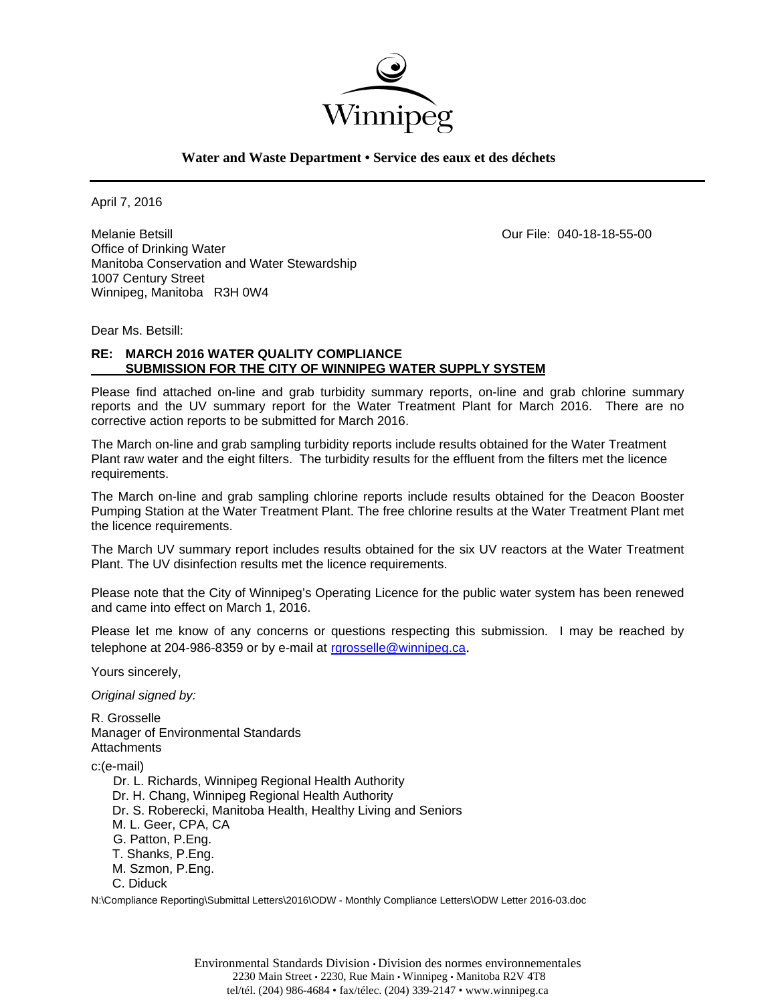

## **Water and Waste Department • Service des eaux et des déchets**

April 7, 2016

Melanie Betsill Our File: 040-18-18-55-00 Office of Drinking Water Manitoba Conservation and Water Stewardship 1007 Century Street Winnipeg, Manitoba R3H 0W4

Dear Ms. Betsill:

### **RE: MARCH 2016 WATER QUALITY COMPLIANCE SUBMISSION FOR THE CITY OF WINNIPEG WATER SUPPLY SYSTEM**

Please find attached on-line and grab turbidity summary reports, on-line and grab chlorine summary reports and the UV summary report for the Water Treatment Plant for March 2016. There are no corrective action reports to be submitted for March 2016.

The March on-line and grab sampling turbidity reports include results obtained for the Water Treatment Plant raw water and the eight filters. The turbidity results for the effluent from the filters met the licence requirements.

The March on-line and grab sampling chlorine reports include results obtained for the Deacon Booster Pumping Station at the Water Treatment Plant. The free chlorine results at the Water Treatment Plant met the licence requirements.

The March UV summary report includes results obtained for the six UV reactors at the Water Treatment Plant. The UV disinfection results met the licence requirements.

Please note that the City of Winnipeg's Operating Licence for the public water system has been renewed and came into effect on March 1, 2016.

Please let me know of any concerns or questions respecting this submission. I may be reached by telephone at 204-986-8359 or by e-mail at rgrosselle@winnipeg.ca.

Yours sincerely,

*Original signed by:* 

R. Grosselle Manager of Environmental Standards **Attachments** c:(e-mail) Dr. L. Richards, Winnipeg Regional Health Authority Dr. H. Chang, Winnipeg Regional Health Authority Dr. S. Roberecki, Manitoba Health, Healthy Living and Seniors M. L. Geer, CPA, CA G. Patton, P.Eng. T. Shanks, P.Eng. M. Szmon, P.Eng. C. Diduck

N:\Compliance Reporting\Submittal Letters\2016\ODW - Monthly Compliance Letters\ODW Letter 2016-03.doc

Environmental Standards Division • Division des normes environnementales 2230 Main Street • 2230, Rue Main • Winnipeg • Manitoba R2V 4T8 tel/tél. (204) 986-4684 • fax/télec. (204) 339-2147 • www.winnipeg.ca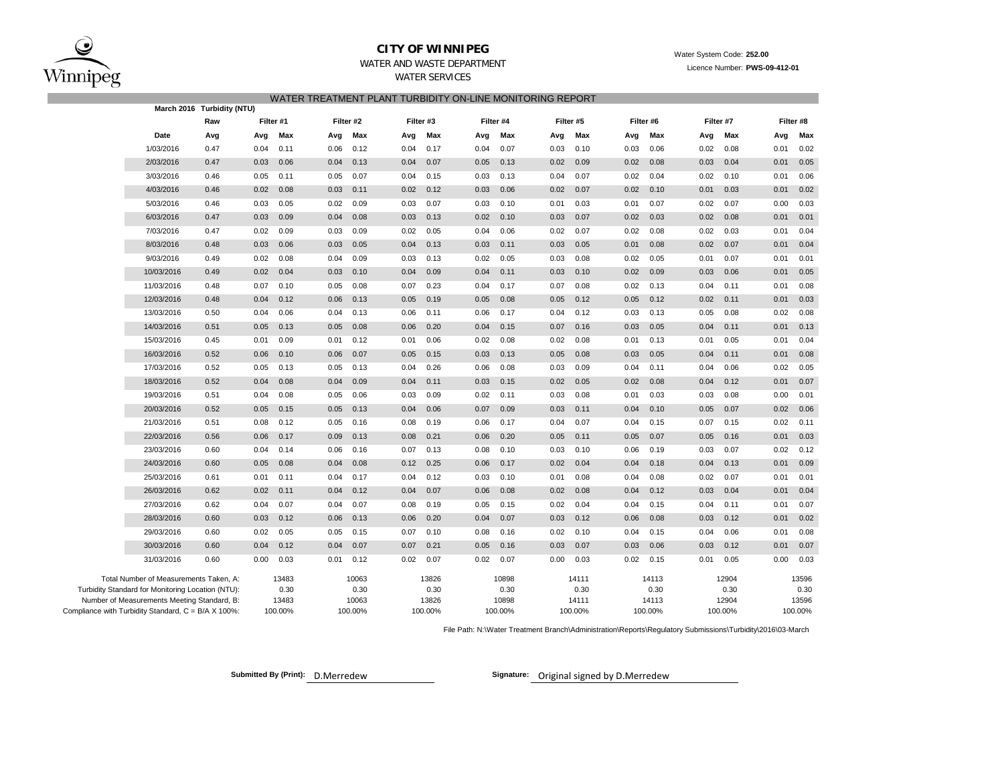$\bf{C}$ Winnipeg

# **CITY OF WINNIPEG** WATER WATER WATER WATER System Code: 252.00

WATER AND WASTE DEPARTMENT

WATER SERVICES

### WATER TREATMENT PLANT TURBIDITY ON-LINE MONITORING REPORT

|                                                                                                    |            | March 2016 Turbidity (NTU) |               |                  |                  |           |               |                  |               |                  |                  |           |                  |      |               |                  |               |                  |  |  |
|----------------------------------------------------------------------------------------------------|------------|----------------------------|---------------|------------------|------------------|-----------|---------------|------------------|---------------|------------------|------------------|-----------|------------------|------|---------------|------------------|---------------|------------------|--|--|
|                                                                                                    |            | Raw                        | Filter #1     |                  |                  | Filter #2 | Filter #3     |                  |               | Filter #4        |                  | Filter #5 | Filter #6        |      |               | Filter #7        |               |                  |  |  |
|                                                                                                    | Date       | Avg                        | Avg           | Max              | Avg              | Max       | Avg           | Max              | Avg           | Max              | Avg              | Max       | Avg              | Max  | Avg           | Max              | Avg           | Max              |  |  |
|                                                                                                    | 1/03/2016  | 0.47                       | 0.04          | 0.11             | 0.06             | 0.12      | 0.04          | 0.17             | 0.04          | 0.07             | 0.03             | 0.10      | 0.03             | 0.06 | 0.02          | 0.08             | 0.01          | 0.02             |  |  |
|                                                                                                    | 2/03/2016  | 0.47                       | 0.03          | 0.06             | 0.04             | 0.13      | 0.04          | 0.07             | 0.05          | 0.13             | 0.02             | 0.09      | 0.02             | 0.08 | 0.03          | 0.04             | 0.01          | 0.05             |  |  |
|                                                                                                    | 3/03/2016  | 0.46                       | 0.05          | 0.11             | 0.05             | 0.07      | 0.04          | 0.15             | 0.03          | 0.13             | 0.04             | 0.07      | 0.02             | 0.04 | 0.02          | 0.10             | 0.01          | 0.06             |  |  |
|                                                                                                    | 4/03/2016  | 0.46                       | 0.02          | 0.08             | 0.03             | 0.11      | 0.02          | 0.12             | 0.03          | 0.06             | 0.02             | 0.07      | 0.02             | 0.10 | 0.01          | 0.03             | 0.01          | 0.02             |  |  |
|                                                                                                    | 5/03/2016  | 0.46                       | 0.03          | 0.05             | 0.02             | 0.09      | 0.03          | 0.07             | 0.03          | 0.10             | 0.01             | 0.03      | 0.01             | 0.07 | 0.02          | 0.07             | 0.00          | 0.03             |  |  |
|                                                                                                    | 6/03/2016  | 0.47                       | 0.03          | 0.09             | 0.04             | 0.08      | 0.03          | 0.13             | 0.02          | 0.10             | 0.03             | 0.07      | 0.02             | 0.03 | 0.02          | 0.08             | 0.01          | 0.01             |  |  |
|                                                                                                    | 7/03/2016  | 0.47                       | 0.02          | 0.09             | 0.03             | 0.09      | 0.02          | 0.05             | 0.04          | 0.06             | 0.02             | 0.07      | 0.02             | 0.08 | 0.02          | 0.03             | 0.01          | 0.04             |  |  |
|                                                                                                    | 8/03/2016  | 0.48                       | 0.03          | 0.06             | 0.03             | 0.05      | 0.04          | 0.13             | 0.03          | 0.11             | 0.03             | 0.05      | 0.01             | 0.08 | 0.02          | 0.07             | 0.01          | 0.04             |  |  |
|                                                                                                    | 9/03/2016  | 0.49                       | 0.02          | 0.08             | 0.04             | 0.09      | 0.03          | 0.13             | 0.02          | 0.05             | 0.03             | 0.08      | 0.02             | 0.05 | 0.01          | 0.07             | 0.01          | 0.01             |  |  |
|                                                                                                    | 10/03/2016 | 0.49                       | 0.02          | 0.04             | 0.03             | 0.10      | 0.04          | 0.09             | 0.04          | 0.11             | 0.03             | 0.10      | 0.02             | 0.09 | 0.03          | 0.06             | 0.01          | 0.05             |  |  |
|                                                                                                    | 11/03/2016 | 0.48                       | 0.07          | 0.10             | 0.05             | 0.08      | 0.07          | 0.23             | 0.04          | 0.17             | 0.07             | 0.08      | 0.02             | 0.13 | 0.04          | 0.11             | 0.01          | 0.08             |  |  |
|                                                                                                    | 12/03/2016 | 0.48                       | 0.04          | 0.12             | 0.06             | 0.13      | 0.05          | 0.19             | 0.05          | 0.08             | 0.05             | 0.12      | 0.05             | 0.12 | 0.02          | 0.11             | 0.01          | 0.03             |  |  |
|                                                                                                    | 13/03/2016 | 0.50                       | 0.04          | 0.06             | 0.04             | 0.13      | 0.06          | 0.11             | 0.06          | 0.17             | 0.04             | 0.12      | 0.03             | 0.13 | 0.05          | 0.08             | 0.02          | 0.08             |  |  |
|                                                                                                    | 14/03/2016 | 0.51                       | 0.05          | 0.13             | 0.05             | 0.08      | 0.06          | 0.20             | 0.04          | 0.15             | 0.07             | 0.16      | 0.03             | 0.05 | 0.04          | 0.11             | 0.01          | 0.13             |  |  |
|                                                                                                    | 15/03/2016 | 0.45                       | 0.01          | 0.09             | 0.01             | 0.12      | 0.01          | 0.06             | 0.02          | 0.08             | 0.02             | 0.08      | 0.01             | 0.13 | 0.01          | 0.05             | 0.01          | 0.04             |  |  |
|                                                                                                    | 16/03/2016 | 0.52                       | 0.06          | 0.10             | 0.06             | 0.07      | 0.05          | 0.15             | 0.03          | 0.13             | 0.05             | 0.08      | 0.03             | 0.05 | 0.04          | 0.11             | 0.01          | 0.08             |  |  |
|                                                                                                    | 17/03/2016 | 0.52                       | 0.05          | 0.13             | 0.05             | 0.13      | 0.04          | 0.26             | 0.06          | 0.08             | 0.03             | 0.09      | 0.04             | 0.11 | 0.04          | 0.06             | 0.02          | 0.05             |  |  |
|                                                                                                    | 18/03/2016 | 0.52                       | 0.04          | 0.08             | 0.04             | 0.09      | 0.04          | 0.11             | 0.03          | 0.15             | 0.02             | 0.05      | 0.02             | 0.08 | 0.04          | 0.12             | 0.01          | 0.07             |  |  |
|                                                                                                    | 19/03/2016 | 0.51                       | 0.04          | 0.08             | 0.05             | 0.06      | 0.03          | 0.09             | 0.02          | 0.11             | 0.03             | 0.08      | 0.01             | 0.03 | 0.03          | 0.08             | 0.00          | 0.01             |  |  |
|                                                                                                    | 20/03/2016 | 0.52                       | 0.05          | 0.15             | 0.05             | 0.13      | 0.04          | 0.06             | 0.07          | 0.09             | 0.03             | 0.11      | 0.04             | 0.10 | 0.05          | 0.07             | 0.02          | 0.06             |  |  |
|                                                                                                    | 21/03/2016 | 0.51                       | 0.08          | 0.12             | 0.05             | 0.16      | 0.08          | 0.19             | 0.06          | 0.17             | 0.04             | 0.07      | 0.04             | 0.15 | 0.07          | 0.15             | 0.02          | 0.11             |  |  |
|                                                                                                    | 22/03/2016 | 0.56                       | 0.06          | 0.17             | 0.09             | 0.13      | 0.08          | 0.21             | 0.06          | 0.20             | 0.05             | 0.11      | 0.05             | 0.07 | 0.05          | 0.16             | 0.01          | 0.03             |  |  |
|                                                                                                    | 23/03/2016 | 0.60                       | 0.04          | 0.14             | 0.06             | 0.16      | 0.07          | 0.13             | 0.08          | 0.10             | 0.03             | 0.10      | 0.06             | 0.19 | 0.03          | 0.07             | 0.02          | 0.12             |  |  |
|                                                                                                    | 24/03/2016 | 0.60                       | 0.05          | 0.08             | 0.04             | 0.08      | 0.12          | 0.25             | 0.06          | 0.17             | 0.02             | 0.04      | 0.04             | 0.18 | 0.04          | 0.13             | 0.01          | 0.09             |  |  |
|                                                                                                    | 25/03/2016 | 0.61                       | 0.01          | 0.11             | 0.04             | 0.17      | 0.04          | 0.12             | 0.03          | 0.10             | 0.01             | 0.08      | 0.04             | 0.08 | 0.02          | 0.07             | 0.01          | 0.01             |  |  |
|                                                                                                    | 26/03/2016 | 0.62                       | 0.02          | 0.11             | 0.04             | 0.12      | 0.04          | 0.07             | 0.06          | 0.08             | 0.02             | 0.08      | 0.04             | 0.12 | 0.03          | 0.04             | 0.01          | 0.04             |  |  |
|                                                                                                    | 27/03/2016 | 0.62                       | 0.04          | 0.07             | 0.04             | 0.07      | 0.08          | 0.19             | 0.05          | 0.15             | 0.02             | 0.04      | 0.04             | 0.15 | 0.04          | 0.11             | 0.01          | 0.07             |  |  |
|                                                                                                    | 28/03/2016 | 0.60                       | 0.03          | 0.12             | 0.06             | 0.13      | 0.06          | 0.20             | 0.04          | 0.07             | 0.03             | 0.12      | 0.06             | 0.08 | 0.03          | 0.12             | 0.01          | 0.02             |  |  |
|                                                                                                    | 29/03/2016 | 0.60                       | 0.02          | 0.05             | 0.05             | 0.15      | 0.07          | 0.10             | 0.08          | 0.16             | 0.02             | 0.10      | 0.04             | 0.15 | 0.04          | 0.06             | 0.01          | 0.08             |  |  |
|                                                                                                    | 30/03/2016 | 0.60                       | 0.04          | 0.12             | 0.04             | 0.07      | 0.07          | 0.21             | 0.05          | 0.16             | 0.03             | 0.07      | 0.03             | 0.06 | 0.03          | 0.12             | 0.01          | 0.07             |  |  |
|                                                                                                    | 31/03/2016 | 0.60                       | 0.00          | 0.03             | 0.01             | 0.12      | 0.02          | 0.07             | 0.02          | 0.07             | 0.00             | 0.03      | 0.02             | 0.15 | 0.01          | 0.05             | 0.00          | 0.03             |  |  |
| Total Number of Measurements Taken, A:<br>Turbidity Standard for Monitoring Location (NTU):        |            |                            | 13483<br>0.30 |                  | 10063<br>0.30    |           | 13826<br>0.30 |                  | 10898<br>0.30 |                  | 14111<br>0.30    |           | 14113<br>0.30    |      | 12904<br>0.30 |                  | 13596<br>0.30 |                  |  |  |
| Number of Measurements Meeting Standard, B:<br>Compliance with Turbidity Standard, C = B/A X 100%: |            |                            |               | 13483<br>100.00% | 10063<br>100.00% |           |               | 13826<br>100.00% |               | 10898<br>100.00% | 14111<br>100.00% |           | 14113<br>100.00% |      |               | 12904<br>100.00% |               | 13596<br>100.00% |  |  |

File Path: N:\Water Treatment Branch\Administration\Reports\Regulatory Submissions\Turbidity\2016\03-March

**Submitted By (Print):** D.Merredew **Signature:** Original signed by D.Merredew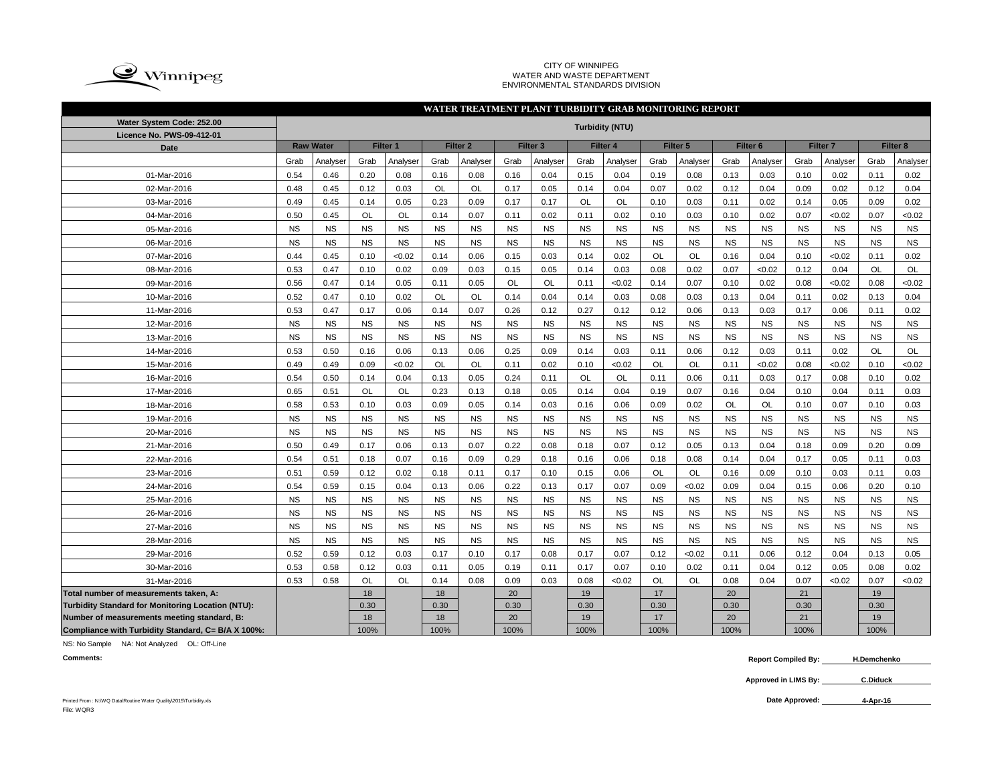

#### CITY OF WINNIPEG WATER AND WASTE DEPARTMENT ENVIRONMENTAL STANDARDS DIVISION

|                                                    | WATER TREATMENT PLANT TURBIDITY GRAB MONITORING REPORT |                      |           |           |           |           |           |           |           |                        |           |           |           |                     |                     |           |           |                     |  |  |
|----------------------------------------------------|--------------------------------------------------------|----------------------|-----------|-----------|-----------|-----------|-----------|-----------|-----------|------------------------|-----------|-----------|-----------|---------------------|---------------------|-----------|-----------|---------------------|--|--|
| Water System Code: 252.00                          |                                                        |                      |           |           |           |           |           |           |           | <b>Turbidity (NTU)</b> |           |           |           |                     |                     |           |           |                     |  |  |
| Licence No. PWS-09-412-01                          |                                                        | Filter 1<br>Filter 3 |           |           |           |           |           |           |           |                        |           |           |           |                     |                     |           |           |                     |  |  |
| Date                                               |                                                        | <b>Raw Water</b>     |           |           |           | Filter 2  |           |           |           | Filter 4               |           | Filter 5  |           | Filter <sub>6</sub> | Filter <sub>7</sub> |           |           | Filter <sub>8</sub> |  |  |
|                                                    | Grab                                                   | Analyser             | Grab      | Analyser  | Grab      | Analyser  | Grab      | Analyser  | Grab      | Analyser               | Grab      | Analyser  | Grab      | Analyser            | Grab                | Analyser  | Grab      | Analyser            |  |  |
| 01-Mar-2016                                        | 0.54                                                   | 0.46                 | 0.20      | 0.08      | 0.16      | 0.08      | 0.16      | 0.04      | 0.15      | 0.04                   | 0.19      | 0.08      | 0.13      | 0.03                | 0.10                | 0.02      | 0.11      | 0.02                |  |  |
| 02-Mar-2016                                        | 0.48                                                   | 0.45                 | 0.12      | 0.03      | <b>OL</b> | OL        | 0.17      | 0.05      | 0.14      | 0.04                   | 0.07      | 0.02      | 0.12      | 0.04                | 0.09                | 0.02      | 0.12      | 0.04                |  |  |
| 03-Mar-2016                                        | 0.49                                                   | 0.45                 | 0.14      | 0.05      | 0.23      | 0.09      | 0.17      | 0.17      | <b>OL</b> | OL                     | 0.10      | 0.03      | 0.11      | 0.02                | 0.14                | 0.05      | 0.09      | 0.02                |  |  |
| 04-Mar-2016                                        | 0.50                                                   | 0.45                 | OL        | <b>OL</b> | 0.14      | 0.07      | 0.11      | 0.02      | 0.11      | 0.02                   | 0.10      | 0.03      | 0.10      | 0.02                | 0.07                | < 0.02    | 0.07      | <0.02               |  |  |
| 05-Mar-2016                                        | <b>NS</b>                                              | <b>NS</b>            | <b>NS</b> | <b>NS</b> | <b>NS</b> | <b>NS</b> | <b>NS</b> | <b>NS</b> | <b>NS</b> | <b>NS</b>              | <b>NS</b> | <b>NS</b> | <b>NS</b> | <b>NS</b>           | <b>NS</b>           | <b>NS</b> | <b>NS</b> | <b>NS</b>           |  |  |
| 06-Mar-2016                                        | <b>NS</b>                                              | <b>NS</b>            | <b>NS</b> | <b>NS</b> | <b>NS</b> | <b>NS</b> | <b>NS</b> | <b>NS</b> | <b>NS</b> | <b>NS</b>              | <b>NS</b> | <b>NS</b> | <b>NS</b> | <b>NS</b>           | <b>NS</b>           | <b>NS</b> | <b>NS</b> | <b>NS</b>           |  |  |
| 07-Mar-2016                                        | 0.44                                                   | 0.45                 | 0.10      | ${<}0.02$ | 0.14      | 0.06      | 0.15      | 0.03      | 0.14      | 0.02                   | <b>OL</b> | <b>OL</b> | 0.16      | 0.04                | 0.10                | < 0.02    | 0.11      | 0.02                |  |  |
| 08-Mar-2016                                        | 0.53                                                   | 0.47                 | 0.10      | 0.02      | 0.09      | 0.03      | 0.15      | 0.05      | 0.14      | 0.03                   | 0.08      | 0.02      | 0.07      | <0.02               | 0.12                | 0.04      | OL        | OL                  |  |  |
| 09-Mar-2016                                        | 0.56                                                   | 0.47                 | 0.14      | 0.05      | 0.11      | 0.05      | OL        | OL        | 0.11      | <0.02                  | 0.14      | 0.07      | 0.10      | 0.02                | 0.08                | < 0.02    | 0.08      | < 0.02              |  |  |
| 10-Mar-2016                                        | 0.52                                                   | 0.47                 | 0.10      | 0.02      | OL        | <b>OL</b> | 0.14      | 0.04      | 0.14      | 0.03                   | 0.08      | 0.03      | 0.13      | 0.04                | 0.11                | 0.02      | 0.13      | 0.04                |  |  |
| 11-Mar-2016                                        | 0.53                                                   | 0.47                 | 0.17      | 0.06      | 0.14      | 0.07      | 0.26      | 0.12      | 0.27      | 0.12                   | 0.12      | 0.06      | 0.13      | 0.03                | 0.17                | 0.06      | 0.11      | 0.02                |  |  |
| 12-Mar-2016                                        | <b>NS</b>                                              | <b>NS</b>            | <b>NS</b> | <b>NS</b> | <b>NS</b> | <b>NS</b> | <b>NS</b> | <b>NS</b> | <b>NS</b> | <b>NS</b>              | <b>NS</b> | <b>NS</b> | <b>NS</b> | <b>NS</b>           | <b>NS</b>           | <b>NS</b> | <b>NS</b> | <b>NS</b>           |  |  |
| 13-Mar-2016                                        | <b>NS</b>                                              | <b>NS</b>            | <b>NS</b> | <b>NS</b> | <b>NS</b> | <b>NS</b> | <b>NS</b> | <b>NS</b> | <b>NS</b> | <b>NS</b>              | <b>NS</b> | <b>NS</b> | <b>NS</b> | <b>NS</b>           | <b>NS</b>           | <b>NS</b> | <b>NS</b> | <b>NS</b>           |  |  |
| 14-Mar-2016                                        | 0.53                                                   | 0.50                 | 0.16      | 0.06      | 0.13      | 0.06      | 0.25      | 0.09      | 0.14      | 0.03                   | 0.11      | 0.06      | 0.12      | 0.03                | 0.11                | 0.02      | OL        | OL                  |  |  |
| 15-Mar-2016                                        | 0.49                                                   | 0.49                 | 0.09      | <0.02     | OL        | <b>OL</b> | 0.11      | 0.02      | 0.10      | <0.02                  | <b>OL</b> | OL        | 0.11      | <0.02               | 0.08                | <0.02     | 0.10      | < 0.02              |  |  |
| 16-Mar-2016                                        | 0.54                                                   | 0.50                 | 0.14      | 0.04      | 0.13      | 0.05      | 0.24      | 0.11      | <b>OL</b> | OL                     | 0.11      | 0.06      | 0.11      | 0.03                | 0.17                | 0.08      | 0.10      | 0.02                |  |  |
| 17-Mar-2016                                        | 0.65                                                   | 0.51                 | <b>OL</b> | <b>OL</b> | 0.23      | 0.13      | 0.18      | 0.05      | 0.14      | 0.04                   | 0.19      | 0.07      | 0.16      | 0.04                | 0.10                | 0.04      | 0.11      | 0.03                |  |  |
| 18-Mar-2016                                        | 0.58                                                   | 0.53                 | 0.10      | 0.03      | 0.09      | 0.05      | 0.14      | 0.03      | 0.16      | 0.06                   | 0.09      | 0.02      | OL        | OL                  | 0.10                | 0.07      | 0.10      | 0.03                |  |  |
| 19-Mar-2016                                        | <b>NS</b>                                              | <b>NS</b>            | <b>NS</b> | <b>NS</b> | <b>NS</b> | <b>NS</b> | <b>NS</b> | <b>NS</b> | <b>NS</b> | <b>NS</b>              | <b>NS</b> | <b>NS</b> | <b>NS</b> | <b>NS</b>           | <b>NS</b>           | <b>NS</b> | <b>NS</b> | <b>NS</b>           |  |  |
| 20-Mar-2016                                        | <b>NS</b>                                              | <b>NS</b>            | <b>NS</b> | <b>NS</b> | <b>NS</b> | <b>NS</b> | <b>NS</b> | <b>NS</b> | <b>NS</b> | <b>NS</b>              | <b>NS</b> | <b>NS</b> | <b>NS</b> | <b>NS</b>           | <b>NS</b>           | <b>NS</b> | <b>NS</b> | <b>NS</b>           |  |  |
| 21-Mar-2016                                        | 0.50                                                   | 0.49                 | 0.17      | 0.06      | 0.13      | 0.07      | 0.22      | 0.08      | 0.18      | 0.07                   | 0.12      | 0.05      | 0.13      | 0.04                | 0.18                | 0.09      | 0.20      | 0.09                |  |  |
| 22-Mar-2016                                        | 0.54                                                   | 0.51                 | 0.18      | 0.07      | 0.16      | 0.09      | 0.29      | 0.18      | 0.16      | 0.06                   | 0.18      | 0.08      | 0.14      | 0.04                | 0.17                | 0.05      | 0.11      | 0.03                |  |  |
| 23-Mar-2016                                        | 0.51                                                   | 0.59                 | 0.12      | 0.02      | 0.18      | 0.11      | 0.17      | 0.10      | 0.15      | 0.06                   | OL        | <b>OL</b> | 0.16      | 0.09                | 0.10                | 0.03      | 0.11      | 0.03                |  |  |
| 24-Mar-2016                                        | 0.54                                                   | 0.59                 | 0.15      | 0.04      | 0.13      | 0.06      | 0.22      | 0.13      | 0.17      | 0.07                   | 0.09      | <0.02     | 0.09      | 0.04                | 0.15                | 0.06      | 0.20      | 0.10                |  |  |
| 25-Mar-2016                                        | <b>NS</b>                                              | <b>NS</b>            | <b>NS</b> | <b>NS</b> | <b>NS</b> | <b>NS</b> | <b>NS</b> | <b>NS</b> | <b>NS</b> | <b>NS</b>              | <b>NS</b> | <b>NS</b> | <b>NS</b> | <b>NS</b>           | <b>NS</b>           | <b>NS</b> | <b>NS</b> | <b>NS</b>           |  |  |
| 26-Mar-2016                                        | <b>NS</b>                                              | <b>NS</b>            | <b>NS</b> | <b>NS</b> | <b>NS</b> | <b>NS</b> | <b>NS</b> | <b>NS</b> | <b>NS</b> | <b>NS</b>              | <b>NS</b> | <b>NS</b> | <b>NS</b> | <b>NS</b>           | <b>NS</b>           | <b>NS</b> | <b>NS</b> | <b>NS</b>           |  |  |
| 27-Mar-2016                                        | <b>NS</b>                                              | <b>NS</b>            | <b>NS</b> | <b>NS</b> | <b>NS</b> | <b>NS</b> | <b>NS</b> | <b>NS</b> | <b>NS</b> | <b>NS</b>              | <b>NS</b> | <b>NS</b> | <b>NS</b> | <b>NS</b>           | <b>NS</b>           | <b>NS</b> | <b>NS</b> | <b>NS</b>           |  |  |
| 28-Mar-2016                                        | <b>NS</b>                                              | <b>NS</b>            | <b>NS</b> | <b>NS</b> | <b>NS</b> | <b>NS</b> | <b>NS</b> | <b>NS</b> | <b>NS</b> | <b>NS</b>              | <b>NS</b> | <b>NS</b> | <b>NS</b> | <b>NS</b>           | <b>NS</b>           | <b>NS</b> | <b>NS</b> | <b>NS</b>           |  |  |
| 29-Mar-2016                                        | 0.52                                                   | 0.59                 | 0.12      | 0.03      | 0.17      | 0.10      | 0.17      | 0.08      | 0.17      | 0.07                   | 0.12      | <0.02     | 0.11      | 0.06                | 0.12                | 0.04      | 0.13      | 0.05                |  |  |
| 30-Mar-2016                                        | 0.53                                                   | 0.58                 | 0.12      | 0.03      | 0.11      | 0.05      | 0.19      | 0.11      | 0.17      | 0.07                   | 0.10      | 0.02      | 0.11      | 0.04                | 0.12                | 0.05      | 0.08      | 0.02                |  |  |
| 31-Mar-2016                                        | 0.53                                                   | 0.58                 | OL        | <b>OL</b> | 0.14      | 0.08      | 0.09      | 0.03      | 0.08      | <0.02                  | OL        | OL        | 0.08      | 0.04                | 0.07                | < 0.02    | 0.07      | < 0.02              |  |  |
| Total number of measurements taken, A:             |                                                        |                      | 18        |           | 18        |           | 20        |           | 19        |                        | 17        |           | 20        |                     | 21                  |           | 19        |                     |  |  |
| Turbidity Standard for Monitoring Location (NTU):  |                                                        |                      | 0.30      |           | 0.30      |           | 0.30      |           | 0.30      |                        | 0.30      |           | 0.30      |                     | 0.30                |           | 0.30      |                     |  |  |
| Number of measurements meeting standard, B:        |                                                        |                      | 18        |           | 18        |           | 20        |           | 19        |                        | 17        |           | 20        |                     | 21                  |           | 19        |                     |  |  |
| Compliance with Turbidity Standard, C= B/A X 100%: |                                                        |                      | 100%      |           | 100%      |           | 100%      |           | 100%      |                        | 100%      |           | 100%      |                     | 100%                |           | 100%      |                     |  |  |

NS: No Sample NA: Not Analyzed OL: Off-Line

**Comments: Report Compiled By: H.Demchenko**

> **Approved in LIMS By: C.Diduck**

> > **4-Apr-16**

Printed From : N:\WQ Data\Routine Water Quality\2015\Turbidity.xls **Date Approved:** File: WQR3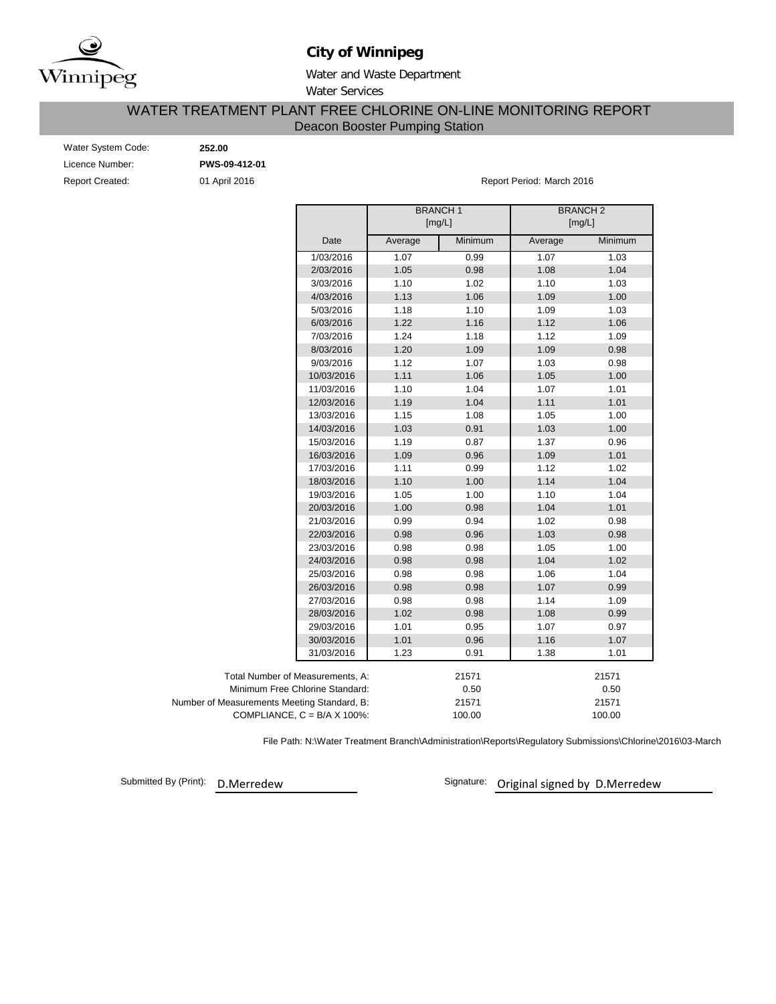

# **City of Winnipeg**

Water and Waste Department Water Services

# Deacon Booster Pumping Station WATER TREATMENT PLANT FREE CHLORINE ON-LINE MONITORING REPORT

| Water System Code: |
|--------------------|
| Licence Number:    |
| Report Created:    |

Water System Code: **252.00**

Licence Number: **PWS-09-412-01**

eport Created: **12016** Created: 01 April 2016 **Report Period: March 2016** Report Period: March 2016

|                                             |                                      |         | <b>BRANCH1</b><br>[mg/L] | <b>BRANCH2</b><br>[mg/L] |         |  |  |  |  |  |
|---------------------------------------------|--------------------------------------|---------|--------------------------|--------------------------|---------|--|--|--|--|--|
|                                             | Date                                 | Average | Minimum                  | Average                  | Minimum |  |  |  |  |  |
|                                             | 1/03/2016                            | 1.07    | 0.99                     | 1.07                     | 1.03    |  |  |  |  |  |
|                                             | 2/03/2016                            | 1.05    | 0.98                     | 1.08                     | 1.04    |  |  |  |  |  |
|                                             | 3/03/2016                            | 1.10    | 1.02                     | 1.10                     | 1.03    |  |  |  |  |  |
|                                             | 4/03/2016                            | 1.13    | 1.06                     | 1.09                     | 1.00    |  |  |  |  |  |
|                                             | 5/03/2016                            | 1.18    | 1.10                     | 1.09                     | 1.03    |  |  |  |  |  |
|                                             | 6/03/2016                            | 1.22    | 1.16                     | 1.12                     | 1.06    |  |  |  |  |  |
|                                             | 7/03/2016                            | 1.24    | 1.18                     | 1.12                     | 1.09    |  |  |  |  |  |
|                                             | 8/03/2016                            | 1.20    | 1.09                     | 1.09                     | 0.98    |  |  |  |  |  |
|                                             | 9/03/2016                            | 1.12    | 1.07                     | 1.03                     | 0.98    |  |  |  |  |  |
|                                             | 10/03/2016                           | 1.11    | 1.06                     | 1.05                     | 1.00    |  |  |  |  |  |
|                                             | 11/03/2016                           | 1.10    | 1.04                     | 1.07                     | 1.01    |  |  |  |  |  |
|                                             | 12/03/2016                           | 1.19    | 1.04                     | 1.11                     | 1.01    |  |  |  |  |  |
|                                             | 13/03/2016                           | 1.15    | 1.08                     | 1.05                     | 1.00    |  |  |  |  |  |
|                                             | 14/03/2016                           | 1.03    | 0.91                     | 1.03                     | 1.00    |  |  |  |  |  |
|                                             | 15/03/2016                           | 1.19    | 0.87                     | 1.37                     | 0.96    |  |  |  |  |  |
|                                             | 16/03/2016                           | 1.09    | 0.96                     | 1.09                     | 1.01    |  |  |  |  |  |
|                                             | 17/03/2016                           | 1.11    | 0.99                     | 1.12                     | 1.02    |  |  |  |  |  |
|                                             | 18/03/2016                           | 1.10    | 1.00                     | 1.14                     | 1.04    |  |  |  |  |  |
|                                             | 19/03/2016                           | 1.05    | 1.00                     | 1.10                     | 1.04    |  |  |  |  |  |
|                                             | 20/03/2016                           | 1.00    | 0.98                     | 1.04                     | 1.01    |  |  |  |  |  |
|                                             | 21/03/2016                           | 0.99    | 0.94                     | 1.02                     | 0.98    |  |  |  |  |  |
|                                             | 22/03/2016                           | 0.98    | 0.96                     | 1.03                     | 0.98    |  |  |  |  |  |
|                                             | 23/03/2016                           | 0.98    | 0.98                     | 1.05                     | 1.00    |  |  |  |  |  |
|                                             | 24/03/2016                           | 0.98    | 0.98                     | 1.04                     | 1.02    |  |  |  |  |  |
|                                             | 25/03/2016                           | 0.98    | 0.98                     | 1.06                     | 1.04    |  |  |  |  |  |
|                                             | 26/03/2016                           | 0.98    | 0.98                     | 1.07                     | 0.99    |  |  |  |  |  |
|                                             | 27/03/2016                           | 0.98    | 0.98                     | 1.14                     | 1.09    |  |  |  |  |  |
|                                             | 28/03/2016                           | 1.02    | 0.98                     | 1.08                     | 0.99    |  |  |  |  |  |
|                                             | 29/03/2016                           | 1.01    | 0.95                     | 1.07                     | 0.97    |  |  |  |  |  |
|                                             | 30/03/2016                           | 1.01    | 0.96                     | 1.16                     | 1.07    |  |  |  |  |  |
|                                             | 31/03/2016                           | 1.23    | 0.91                     | 1.38                     | 1.01    |  |  |  |  |  |
| Total Number of Measurements, A:            |                                      |         | 21571                    |                          | 21571   |  |  |  |  |  |
| Minimum Free Chlorine Standard:             |                                      |         | 0.50                     |                          | 0.50    |  |  |  |  |  |
| Number of Measurements Meeting Standard, B: |                                      |         | 21571                    |                          | 21571   |  |  |  |  |  |
|                                             | COMPLIANCE, $C = B/A \times 100\%$ : |         | 100.00                   |                          | 100.00  |  |  |  |  |  |

File Path: N:\Water Treatment Branch\Administration\Reports\Regulatory Submissions\Chlorine\2016\03-March

Submitted By (Print): D.Merredew

Signature: Original signed by D.Merredew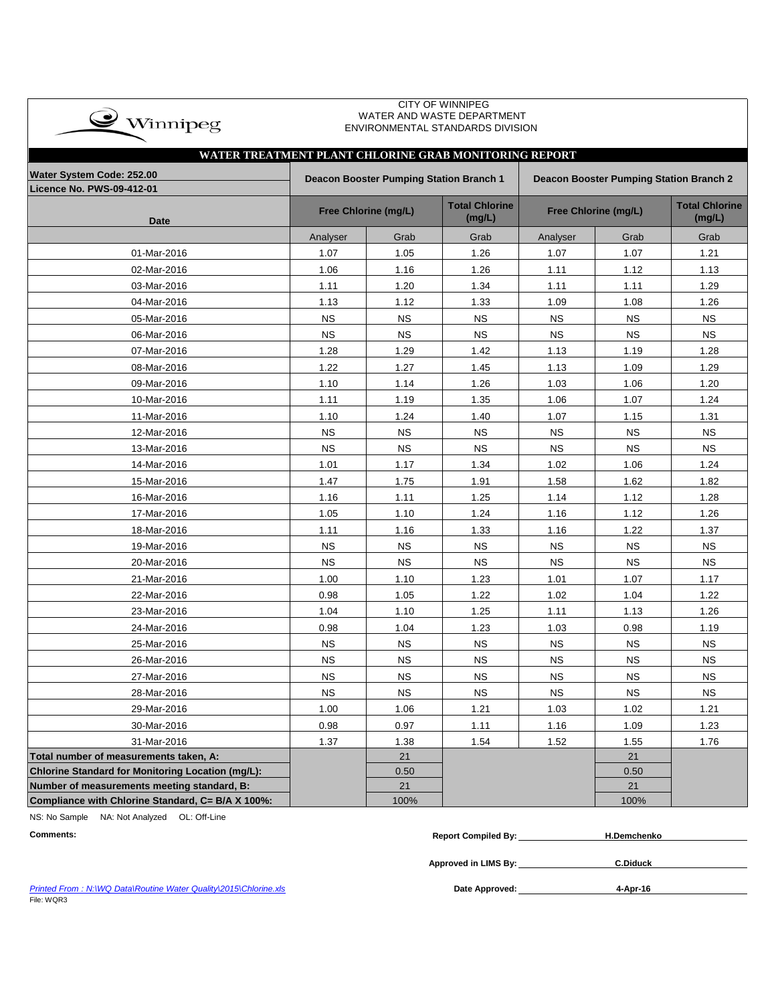| $\bullet$ Winnipeg |
|--------------------|
|                    |

### CITY OF WINNIPEG WATER AND WASTE DEPARTMENT ENVIRONMENTAL STANDARDS DIVISION

| WATER TREATMENT PLANT CHLORINE GRAB MONITORING REPORT |                                                                                    |                      |                                 |                      |                                 |           |  |  |  |  |  |  |  |
|-------------------------------------------------------|------------------------------------------------------------------------------------|----------------------|---------------------------------|----------------------|---------------------------------|-----------|--|--|--|--|--|--|--|
| Water System Code: 252.00                             | Deacon Booster Pumping Station Branch 1<br>Deacon Booster Pumping Station Branch 2 |                      |                                 |                      |                                 |           |  |  |  |  |  |  |  |
| <b>Licence No. PWS-09-412-01</b>                      |                                                                                    |                      |                                 |                      |                                 |           |  |  |  |  |  |  |  |
| <b>Date</b>                                           |                                                                                    | Free Chlorine (mg/L) | <b>Total Chlorine</b><br>(mg/L) | Free Chlorine (mg/L) | <b>Total Chlorine</b><br>(mg/L) |           |  |  |  |  |  |  |  |
|                                                       | Analyser                                                                           | Grab                 | Grab                            | Analyser             | Grab                            | Grab      |  |  |  |  |  |  |  |
| 01-Mar-2016                                           | 1.07                                                                               | 1.05                 | 1.26                            | 1.07                 | 1.07                            | 1.21      |  |  |  |  |  |  |  |
| 02-Mar-2016                                           | 1.06                                                                               | 1.16                 | 1.26                            | 1.11                 | 1.12                            | 1.13      |  |  |  |  |  |  |  |
| 03-Mar-2016                                           | 1.11                                                                               | 1.20                 | 1.34                            | 1.11                 | 1.11                            | 1.29      |  |  |  |  |  |  |  |
| 04-Mar-2016                                           | 1.13                                                                               | 1.12                 | 1.33                            | 1.09                 | 1.08                            | 1.26      |  |  |  |  |  |  |  |
| 05-Mar-2016                                           | <b>NS</b>                                                                          | <b>NS</b>            | <b>NS</b>                       | <b>NS</b>            | <b>NS</b>                       | NS        |  |  |  |  |  |  |  |
| 06-Mar-2016                                           | <b>NS</b>                                                                          | <b>NS</b>            | <b>NS</b>                       | <b>NS</b>            | <b>NS</b>                       | <b>NS</b> |  |  |  |  |  |  |  |
| 07-Mar-2016                                           | 1.28                                                                               | 1.29                 | 1.42                            | 1.13                 | 1.19                            | 1.28      |  |  |  |  |  |  |  |
| 08-Mar-2016                                           | 1.22                                                                               | 1.27                 | 1.45                            | 1.13                 | 1.09                            | 1.29      |  |  |  |  |  |  |  |
| 09-Mar-2016                                           | 1.10                                                                               | 1.14                 | 1.26                            | 1.03                 | 1.06                            | 1.20      |  |  |  |  |  |  |  |
| 10-Mar-2016                                           | 1.11                                                                               | 1.19                 | 1.35                            | 1.06                 | 1.07                            | 1.24      |  |  |  |  |  |  |  |
| 11-Mar-2016                                           | 1.10                                                                               | 1.24                 | 1.40                            | 1.07                 | 1.15                            | 1.31      |  |  |  |  |  |  |  |
| 12-Mar-2016                                           | <b>NS</b>                                                                          | <b>NS</b>            | <b>NS</b>                       | <b>NS</b>            | <b>NS</b>                       | NS        |  |  |  |  |  |  |  |
| 13-Mar-2016                                           | <b>NS</b>                                                                          | <b>NS</b>            | <b>NS</b>                       | <b>NS</b>            | <b>NS</b>                       | <b>NS</b> |  |  |  |  |  |  |  |
| 14-Mar-2016                                           | 1.01                                                                               | 1.17                 | 1.34                            | 1.02                 | 1.06                            | 1.24      |  |  |  |  |  |  |  |
| 15-Mar-2016                                           | 1.47                                                                               | 1.75                 | 1.91                            | 1.58                 | 1.62                            | 1.82      |  |  |  |  |  |  |  |
| 16-Mar-2016                                           | 1.16                                                                               | 1.11                 | 1.25                            | 1.14                 | 1.12                            | 1.28      |  |  |  |  |  |  |  |
| 17-Mar-2016                                           | 1.05                                                                               | 1.10                 | 1.24                            | 1.16                 | 1.12                            | 1.26      |  |  |  |  |  |  |  |
| 18-Mar-2016                                           | 1.11                                                                               | 1.16                 | 1.33                            | 1.16                 | 1.22                            | 1.37      |  |  |  |  |  |  |  |
| 19-Mar-2016                                           | <b>NS</b>                                                                          | <b>NS</b>            | <b>NS</b>                       | <b>NS</b>            | <b>NS</b>                       | <b>NS</b> |  |  |  |  |  |  |  |
| 20-Mar-2016                                           | <b>NS</b>                                                                          | <b>NS</b>            | <b>NS</b>                       | <b>NS</b>            | <b>NS</b>                       | <b>NS</b> |  |  |  |  |  |  |  |
| 21-Mar-2016                                           | 1.00                                                                               | 1.10                 | 1.23                            | 1.01                 | 1.07                            | 1.17      |  |  |  |  |  |  |  |
| 22-Mar-2016                                           | 0.98                                                                               | 1.05                 | 1.22                            | 1.02                 | 1.04                            | 1.22      |  |  |  |  |  |  |  |
| 23-Mar-2016                                           | 1.04                                                                               | 1.10                 | 1.25                            | 1.11                 | 1.13                            | 1.26      |  |  |  |  |  |  |  |
| 24-Mar-2016                                           | 0.98                                                                               | 1.04                 | 1.23                            | 1.03                 | 0.98                            | 1.19      |  |  |  |  |  |  |  |
| 25-Mar-2016                                           | <b>NS</b>                                                                          | <b>NS</b>            | <b>NS</b>                       | <b>NS</b>            | <b>NS</b>                       | <b>NS</b> |  |  |  |  |  |  |  |
| 26-Mar-2016                                           | <b>NS</b>                                                                          | <b>NS</b>            | <b>NS</b>                       | <b>NS</b>            | <b>NS</b>                       | <b>NS</b> |  |  |  |  |  |  |  |
| 27-Mar-2016                                           | <b>NS</b>                                                                          | <b>NS</b>            | <b>NS</b>                       | <b>NS</b>            | <b>NS</b>                       | <b>NS</b> |  |  |  |  |  |  |  |
| 28-Mar-2016                                           | <b>NS</b>                                                                          | <b>NS</b>            | <b>NS</b>                       | <b>NS</b>            | <b>NS</b>                       | <b>NS</b> |  |  |  |  |  |  |  |
| 29-Mar-2016                                           | 1.00                                                                               | 1.06                 | 1.21                            | 1.03                 | 1.02                            | 1.21      |  |  |  |  |  |  |  |
| 30-Mar-2016                                           | 0.98                                                                               | 0.97                 | 1.11                            | 1.16                 | 1.09                            | 1.23      |  |  |  |  |  |  |  |
| 31-Mar-2016                                           | 1.37                                                                               | 1.38                 | 1.54                            | 1.52                 | 1.55                            | 1.76      |  |  |  |  |  |  |  |
| Total number of measurements taken, A:                |                                                                                    | 21                   |                                 |                      | 21                              |           |  |  |  |  |  |  |  |
| Chlorine Standard for Monitoring Location (mg/L):     |                                                                                    | 0.50                 |                                 |                      | 0.50                            |           |  |  |  |  |  |  |  |
| Number of measurements meeting standard, B:           |                                                                                    | 21                   |                                 |                      | 21                              |           |  |  |  |  |  |  |  |
| Compliance with Chlorine Standard, C= B/A X 100%:     |                                                                                    | 100%                 |                                 |                      | 100%                            |           |  |  |  |  |  |  |  |

NS: No Sample NA: Not Analyzed OL: Off-Line

| <b>Comments:</b> | <b>Report Compiled By:</b> | H.Demchenko |
|------------------|----------------------------|-------------|
|                  |                            |             |

**Approved in LIMS By: C.Diduck**

Date Approved: 4-Apr-16

**Printed From : N:\WQ Data\Routine Water Quality\2015\Chlorine.xls** File: WQR3